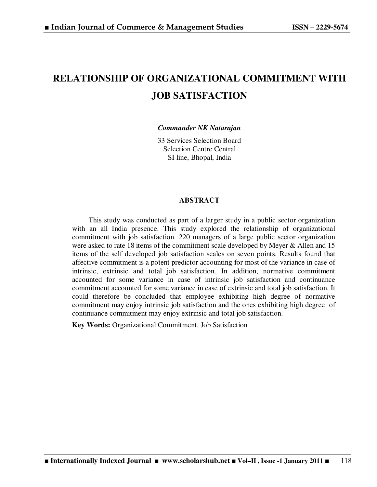# **RELATIONSHIP OF ORGANIZATIONAL COMMITMENT WITH JOB SATISFACTION**

*Commander NK Natarajan* 

33 Services Selection Board Selection Centre Central SI line, Bhopal, India

# **ABSTRACT**

This study was conducted as part of a larger study in a public sector organization with an all India presence. This study explored the relationship of organizational commitment with job satisfaction. 220 managers of a large public sector organization were asked to rate 18 items of the commitment scale developed by Meyer & Allen and 15 items of the self developed job satisfaction scales on seven points. Results found that affective commitment is a potent predictor accounting for most of the variance in case of intrinsic, extrinsic and total job satisfaction. In addition, normative commitment accounted for some variance in case of intrinsic job satisfaction and continuance commitment accounted for some variance in case of extrinsic and total job satisfaction. It could therefore be concluded that employee exhibiting high degree of normative commitment may enjoy intrinsic job satisfaction and the ones exhibiting high degree of continuance commitment may enjoy extrinsic and total job satisfaction.

 **Key Words:** Organizational Commitment, Job Satisfaction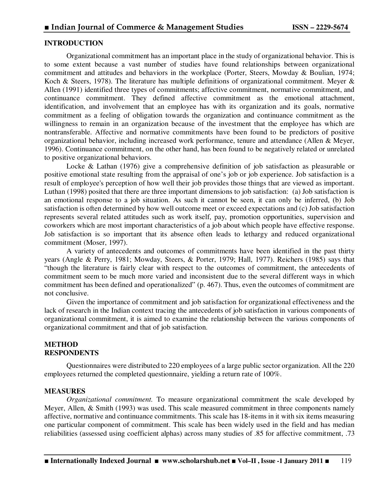# **INTRODUCTION**

Organizational commitment has an important place in the study of organizational behavior. This is to some extent because a vast number of studies have found relationships between organizational commitment and attitudes and behaviors in the workplace (Porter, Steers, Mowday & Boulian, 1974; Koch & Steers, 1978). The literature has multiple definitions of organizational commitment. Meyer & Allen (1991) identified three types of commitments; affective commitment, normative commitment, and continuance commitment. They defined affective commitment as the emotional attachment, identification, and involvement that an employee has with its organization and its goals, normative commitment as a feeling of obligation towards the organization and continuance commitment as the willingness to remain in an organization because of the investment that the employee has which are nontransferable. Affective and normative commitments have been found to be predictors of positive organizational behavior, including increased work performance, tenure and attendance (Allen & Meyer, 1996). Continuance commitment, on the other hand, has been found to be negatively related or unrelated to positive organizational behaviors.

Locke & Lathan (1976) give a comprehensive definition of job satisfaction as pleasurable or positive emotional state resulting from the appraisal of one's job or job experience. Job satisfaction is a result of employee's perception of how well their job provides those things that are viewed as important. Luthan (1998) posited that there are three important dimensions to job satisfaction: (a) Job satisfaction is an emotional response to a job situation. As such it cannot be seen, it can only be inferred, (b) Job satisfaction is often determined by how well outcome meet or exceed expectations and (c) Job satisfaction represents several related attitudes such as work itself, pay, promotion opportunities, supervision and coworkers which are most important characteristics of a job about which people have effective response. Job satisfaction is so important that its absence often leads to lethargy and reduced organizational commitment (Moser, 1997).

A variety of antecedents and outcomes of commitments have been identified in the past thirty years (Angle & Perry, 1981; Mowday, Steers, & Porter, 1979; Hall, 1977). Reichers (1985) says that "though the literature is fairly clear with respect to the outcomes of commitment, the antecedents of commitment seem to be much more varied and inconsistent due to the several different ways in which commitment has been defined and operationalized" (p. 467). Thus, even the outcomes of commitment are not conclusive.

Given the importance of commitment and job satisfaction for organizational effectiveness and the lack of research in the Indian context tracing the antecedents of job satisfaction in various components of organizational commitment, it is aimed to examine the relationship between the various components of organizational commitment and that of job satisfaction.

### **METHOD RESPONDENTS**

Questionnaires were distributed to 220 employees of a large public sector organization. All the 220 employees returned the completed questionnaire, yielding a return rate of 100%.

#### **MEASURES**

*Organizational commitment.* To measure organizational commitment the scale developed by Meyer, Allen, & Smith (1993) was used. This scale measured commitment in three components namely affective, normative and continuance commitments. This scale has 18-items in it with six items measuring one particular component of commitment. This scale has been widely used in the field and has median reliabilities (assessed using coefficient alphas) across many studies of .85 for affective commitment, .73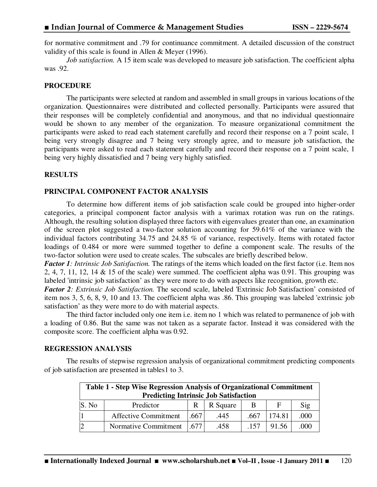for normative commitment and .79 for continuance commitment. A detailed discussion of the construct validity of this scale is found in Allen & Meyer (1996).

*Job satisfaction.* A 15 item scale was developed to measure job satisfaction. The coefficient alpha was .92.

#### **PROCEDURE**

The participants were selected at random and assembled in small groups in various locations of the organization. Questionnaires were distributed and collected personally. Participants were assured that their responses will be completely confidential and anonymous, and that no individual questionnaire would be shown to any member of the organization. To measure organizational commitment the participants were asked to read each statement carefully and record their response on a 7 point scale, 1 being very strongly disagree and 7 being very strongly agree, and to measure job satisfaction, the participants were asked to read each statement carefully and record their response on a 7 point scale, 1 being very highly dissatisfied and 7 being very highly satisfied.

### **RESULTS**

### **PRINCIPAL COMPONENT FACTOR ANALYSIS**

To determine how different items of job satisfaction scale could be grouped into higher-order categories, a principal component factor analysis with a varimax rotation was run on the ratings. Although, the resulting solution displayed three factors with eigenvalues greater than one, an examination of the screen plot suggested a two-factor solution accounting for 59.61% of the variance with the individual factors contributing 34.75 and 24.85 % of variance, respectively. Items with rotated factor loadings of 0.484 or more were summed together to define a component scale. The results of the two-factor solution were used to create scales. The subscales are briefly described below.

*Factor 1: Intrinsic Job Satisfaction.* The ratings of the items which loaded on the first factor (i.e. Item nos 2, 4, 7, 11, 12, 14 & 15 of the scale) were summed. The coefficient alpha was 0.91. This grouping was labeled 'intrinsic job satisfaction' as they were more to do with aspects like recognition, growth etc.

*Factor 2: Extrinsic Job Satisfaction.* The second scale, labeled 'Extrinsic Job Satisfaction' consisted of item nos 3, 5, 6, 8, 9, 10 and 13. The coefficient alpha was .86. This grouping was labeled 'extrinsic job satisfaction' as they were more to do with material aspects.

The third factor included only one item i.e. item no 1 which was related to permanence of job with a loading of 0.86. But the same was not taken as a separate factor. Instead it was considered with the composite score. The coefficient alpha was 0.92.

#### **REGRESSION ANALYSIS**

The results of stepwise regression analysis of organizational commitment predicting components of job satisfaction are presented in tables1 to 3.

| Table 1 - Step Wise Regression Analysis of Organizational Commitment |                             |       |          |      |        |      |  |  |
|----------------------------------------------------------------------|-----------------------------|-------|----------|------|--------|------|--|--|
| <b>Predicting Intrinsic Job Satisfaction</b>                         |                             |       |          |      |        |      |  |  |
| S. No                                                                | Predictor                   | R.    | R Square | B    | F      | Sig  |  |  |
|                                                                      | <b>Affective Commitment</b> | 1.667 | .445     | .667 | 174.81 | .000 |  |  |
|                                                                      | Normative Commitment 1.677  |       | .458     | .157 | 91.56  | 000  |  |  |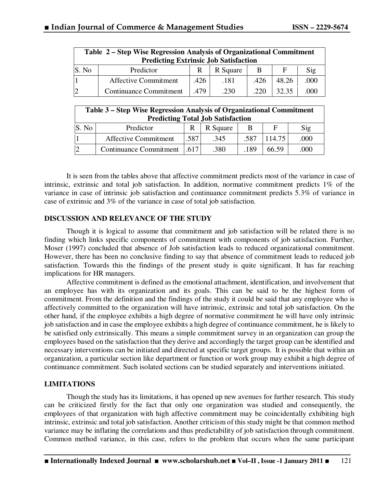| Table 2 – Step Wise Regression Analysis of Organizational Commitment |                               |      |          |      |       |      |  |
|----------------------------------------------------------------------|-------------------------------|------|----------|------|-------|------|--|
| <b>Predicting Extrinsic Job Satisfaction</b>                         |                               |      |          |      |       |      |  |
| S. No                                                                | Predictor                     | R    | R Square | B    | F     | Sig  |  |
|                                                                      | <b>Affective Commitment</b>   | .426 | .181     | .426 | 48.26 | .000 |  |
| 2                                                                    | <b>Continuance Commitment</b> | .479 | .230     | .220 | 32.35 | .000 |  |

| Table 3 – Step Wise Regression Analysis of Organizational Commitment<br><b>Predicting Total Job Satisfaction</b> |                               |       |          |      |        |      |  |  |
|------------------------------------------------------------------------------------------------------------------|-------------------------------|-------|----------|------|--------|------|--|--|
| S. No                                                                                                            | Predictor                     | R     | R Square | B    | F      | Sig  |  |  |
|                                                                                                                  | <b>Affective Commitment</b>   | .587  | .345     | .587 | 114.75 | .000 |  |  |
|                                                                                                                  | <b>Continuance Commitment</b> | 1.617 | .380     | .189 | 66.59  | .000 |  |  |

It is seen from the tables above that affective commitment predicts most of the variance in case of intrinsic, extrinsic and total job satisfaction. In addition, normative commitment predicts 1% of the variance in case of intrinsic job satisfaction and continuance commitment predicts 5.3% of variance in case of extrinsic and 3% of the variance in case of total job satisfaction.

### **DISCUSSION AND RELEVANCE OF THE STUDY**

Though it is logical to assume that commitment and job satisfaction will be related there is no finding which links specific components of commitment with components of job satisfaction. Further, Moser (1997) concluded that absence of Job satisfaction leads to reduced organizational commitment. However, there has been no conclusive finding to say that absence of commitment leads to reduced job satisfaction. Towards this the findings of the present study is quite significant. It has far reaching implications for HR managers.

Affective commitment is defined as the emotional attachment, identification, and involvement that an employee has with its organization and its goals. This can be said to be the highest form of commitment. From the definition and the findings of the study it could be said that any employee who is affectively committed to the organization will have intrinsic, extrinsic and total job satisfaction. On the other hand, if the employee exhibits a high degree of normative commitment he will have only intrinsic job satisfaction and in case the employee exhibits a high degree of continuance commitment, he is likely to be satisfied only extrinsically. This means a simple commitment survey in an organization can group the employees based on the satisfaction that they derive and accordingly the target group can be identified and necessary interventions can be initiated and directed at specific target groups. It is possible that within an organization, a particular section like department or function or work group may exhibit a high degree of continuance commitment. Such isolated sections can be studied separately and interventions initiated.

# **LIMITATIONS**

Though the study has its limitations, it has opened up new avenues for further research. This study can be criticized firstly for the fact that only one organization was studied and consequently, the employees of that organization with high affective commitment may be coincidentally exhibiting high intrinsic, extrinsic and total job satisfaction. Another criticism of this study might be that common method variance may be inflating the correlations and thus predictability of job satisfaction through commitment. Common method variance, in this case, refers to the problem that occurs when the same participant